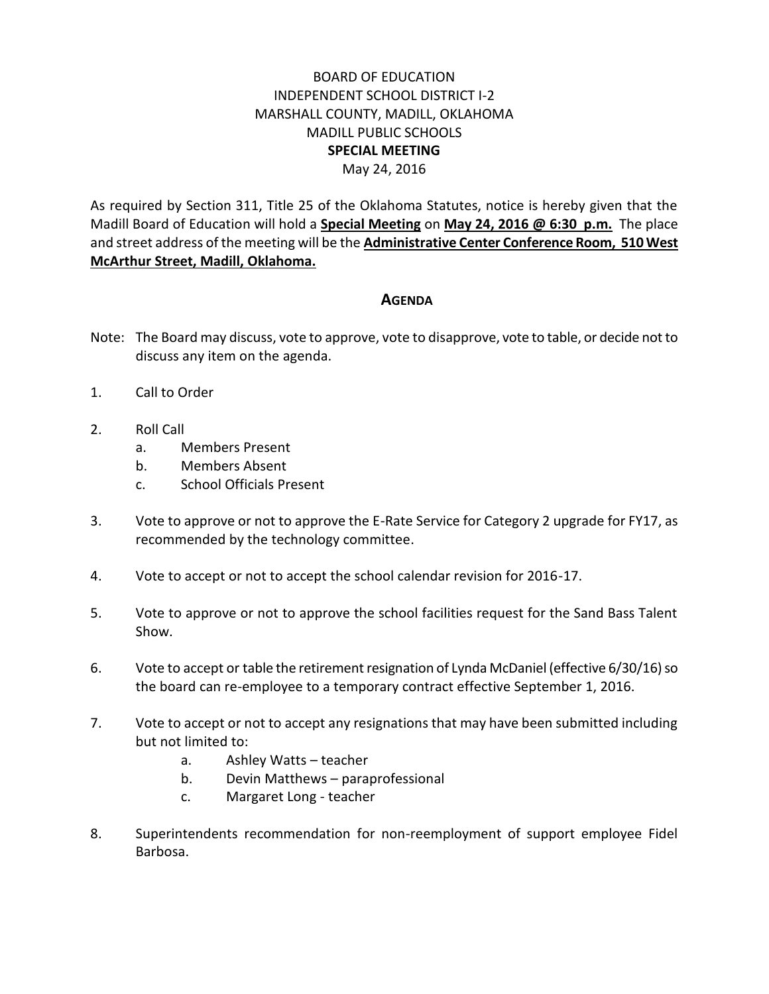## BOARD OF EDUCATION INDEPENDENT SCHOOL DISTRICT I-2 MARSHALL COUNTY, MADILL, OKLAHOMA MADILL PUBLIC SCHOOLS **SPECIAL MEETING** May 24, 2016

As required by Section 311, Title 25 of the Oklahoma Statutes, notice is hereby given that the Madill Board of Education will hold a **Special Meeting** on **May 24, 2016 @ 6:30 p.m.** The place and street address of the meeting will be the **Administrative Center Conference Room, 510 West McArthur Street, Madill, Oklahoma.**

## **AGENDA**

- Note: The Board may discuss, vote to approve, vote to disapprove, vote to table, or decide not to discuss any item on the agenda.
- 1. Call to Order
- 2. Roll Call
	- a. Members Present
	- b. Members Absent
	- c. School Officials Present
- 3. Vote to approve or not to approve the E-Rate Service for Category 2 upgrade for FY17, as recommended by the technology committee.
- 4. Vote to accept or not to accept the school calendar revision for 2016-17.
- 5. Vote to approve or not to approve the school facilities request for the Sand Bass Talent Show.
- 6. Vote to accept or table the retirement resignation of Lynda McDaniel (effective 6/30/16) so the board can re-employee to a temporary contract effective September 1, 2016.
- 7. Vote to accept or not to accept any resignations that may have been submitted including but not limited to:
	- a. Ashley Watts teacher
	- b. Devin Matthews paraprofessional
	- c. Margaret Long teacher
- 8. Superintendents recommendation for non-reemployment of support employee Fidel Barbosa.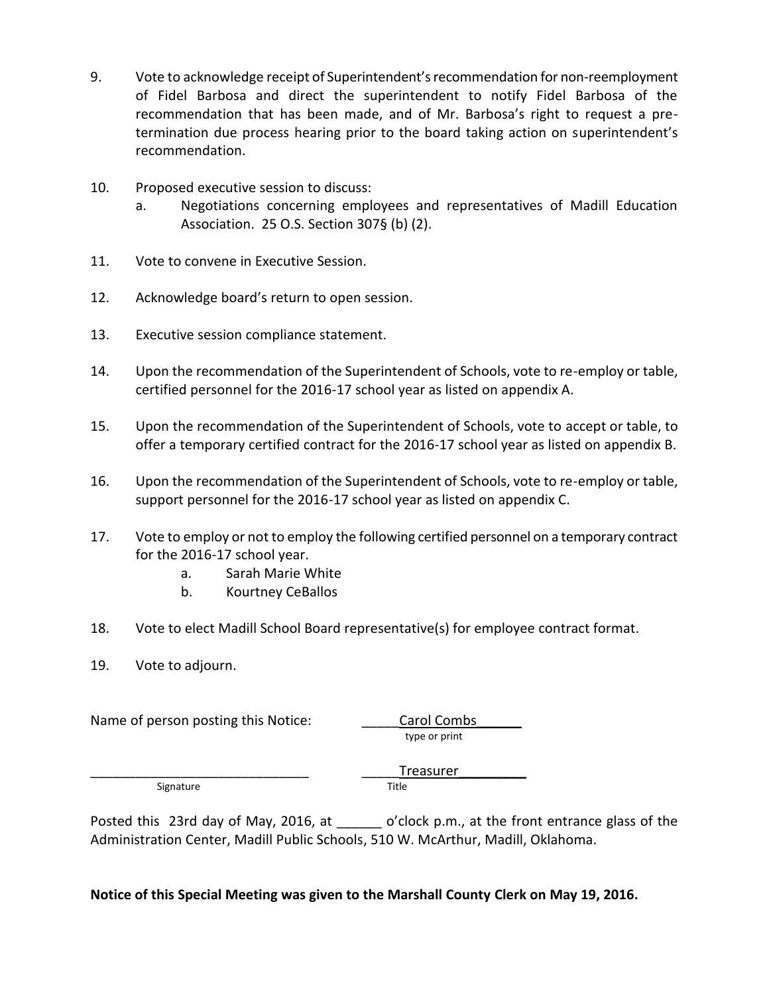- 9. Vote to acknowledge receipt of Superintendent's recommendation for non-reemployment of Fidel Barbosa and direct the superintendent to notify Fidel Barbosa of the recommendation that has been made, and of Mr. Barbosa's right to request a pretermination due process hearing prior to the board taking action on superintendent's recommendation.
- 10. Proposed executive session to discuss:
	- a. Negotiations concerning employees and representatives of Madill Education Association. 25 O.S. Section 307§ (b) (2).
- 11. Vote to convene in Executive Session.
- 12. Acknowledge board's return to open session.
- 13. Executive session compliance statement.
- 14. Upon the recommendation of the Superintendent of Schools, vote to re-employ or table, certified personnel for the 2016-17 school year as listed on appendix A.
- 15. Upon the recommendation of the Superintendent of Schools, vote to accept or table, to offer a temporary certified contract for the 2016-17 school year as listed on appendix B.
- 16. Upon the recommendation of the Superintendent of Schools, vote to re-employ or table, support personnel for the 2016-17 school year as listed on appendix C.
- 17. Vote to employ or not to employ the following certified personnel on a temporary contract for the 2016-17 school year.
	- a. Sarah Marie White
	- b. Kourtney CeBallos
- 18. Vote to elect Madill School Board representative(s) for employee contract format.
- 19. Vote to adjourn.

Name of person posting this Notice: Carol Combs

type or print

Signature Title

Treasurer

Posted this 23rd day of May, 2016, at \_\_\_\_\_\_ o'clock p.m., at the front entrance glass of the Administration Center, Madill Public Schools, 510 W. McArthur, Madill, Oklahoma.

#### **Notice of this Special Meeting was given to the Marshall County Clerk on May 19, 2016.**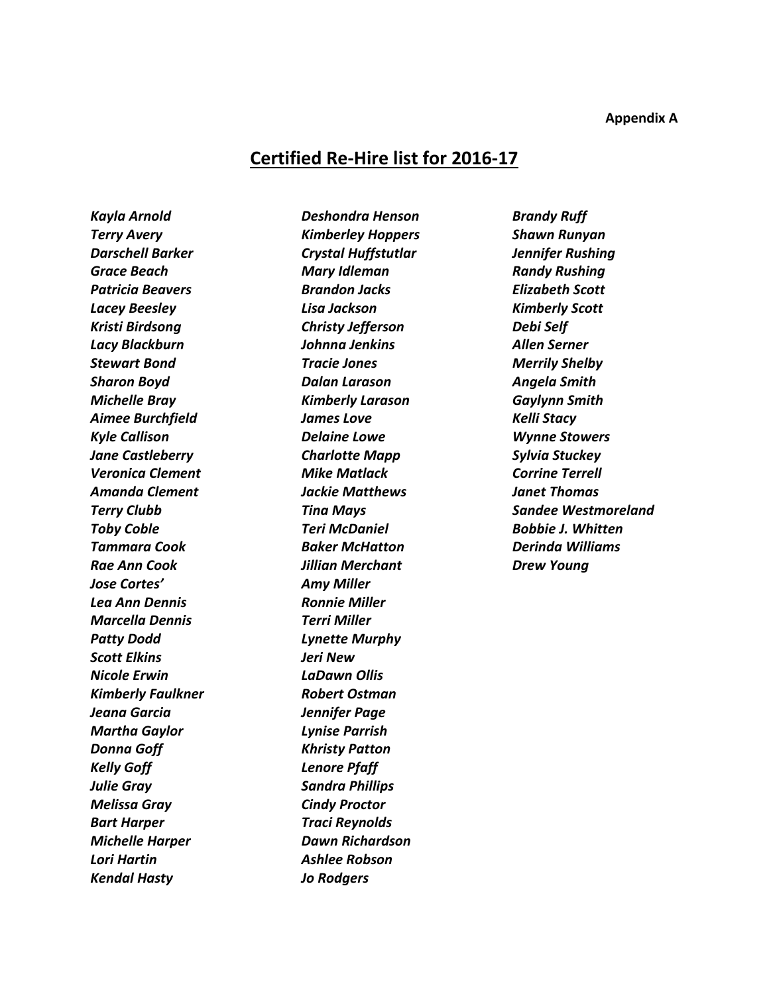# **Certified Re-Hire list for 2016-17**

*Kayla Arnold Terry Avery Darschell Barker Grace Beach Patricia Beavers Lacey Beesley Kristi Birdsong Lacy Blackburn Stewart Bond Sharon Boyd Michelle Bray Aimee Burchfield Kyle Callison Jane Castleberry Veronica Clement Amanda Clement Terry Clubb Toby Coble Tammara Cook Rae Ann Cook Jose Cortes' Lea Ann Dennis Marcella Dennis Patty Dodd Scott Elkins Nicole Erwin Kimberly Faulkner Jeana Garcia Martha Gaylor Donna Goff Kelly Goff Julie Gray Melissa Gray Bart Harper Michelle Harper Lori Hartin Kendal Hasty*

*Deshondra Henson Kimberley Hoppers Crystal Huffstutlar Mary Idleman Brandon Jacks Lisa Jackson Christy Jefferson Johnna Jenkins Tracie Jones Dalan Larason Kimberly Larason James Love Delaine Lowe Charlotte Mapp Mike Matlack Jackie Matthews Tina Mays Teri McDaniel Baker McHatton Jillian Merchant Amy Miller Ronnie Miller Terri Miller Lynette Murphy Jeri New LaDawn Ollis Robert Ostman Jennifer Page Lynise Parrish Khristy Patton Lenore Pfaff Sandra Phillips Cindy Proctor Traci Reynolds Dawn Richardson Ashlee Robson Jo Rodgers*

*Brandy Ruff Shawn Runyan Jennifer Rushing Randy Rushing Elizabeth Scott Kimberly Scott Debi Self Allen Serner Merrily Shelby Angela Smith Gaylynn Smith Kelli Stacy Wynne Stowers Sylvia Stuckey Corrine Terrell Janet Thomas Sandee Westmoreland Bobbie J. Whitten Derinda Williams Drew Young*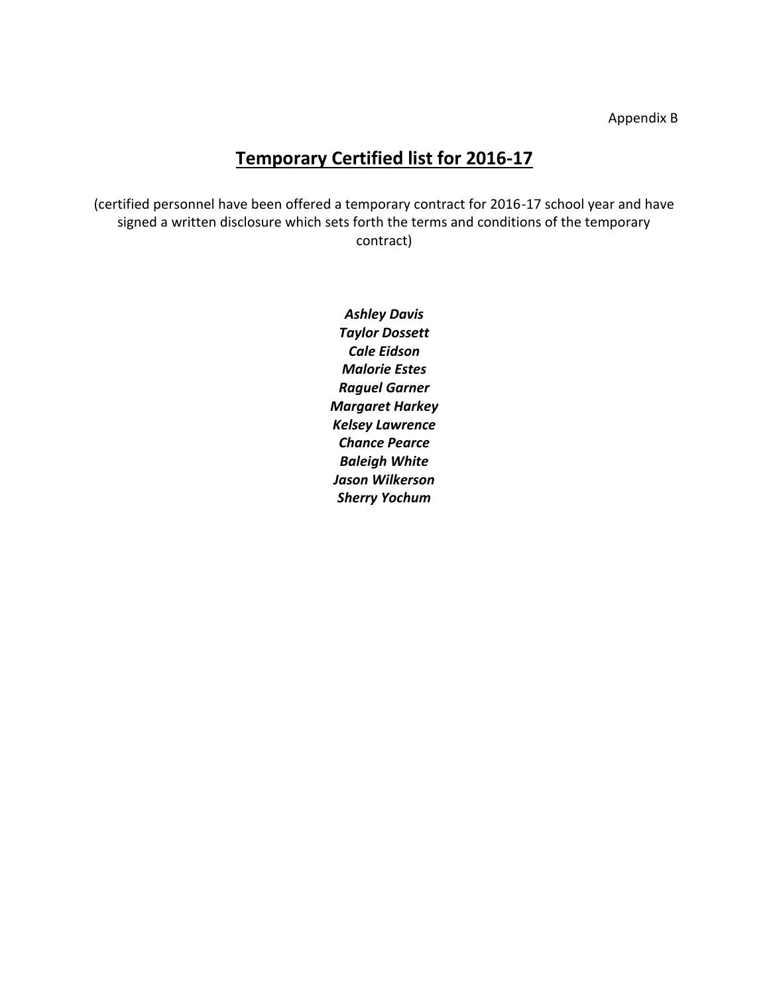# **Temporary Certified list for 2016-17**

(certified personnel have been offered a temporary contract for 2016-17 school year and have signed a written disclosure which sets forth the terms and conditions of the temporary contract)

> *Ashley Davis Taylor Dossett Cale Eidson Malorie Estes Raguel Garner Margaret Harkey Kelsey Lawrence Chance Pearce Baleigh White Jason Wilkerson Sherry Yochum*